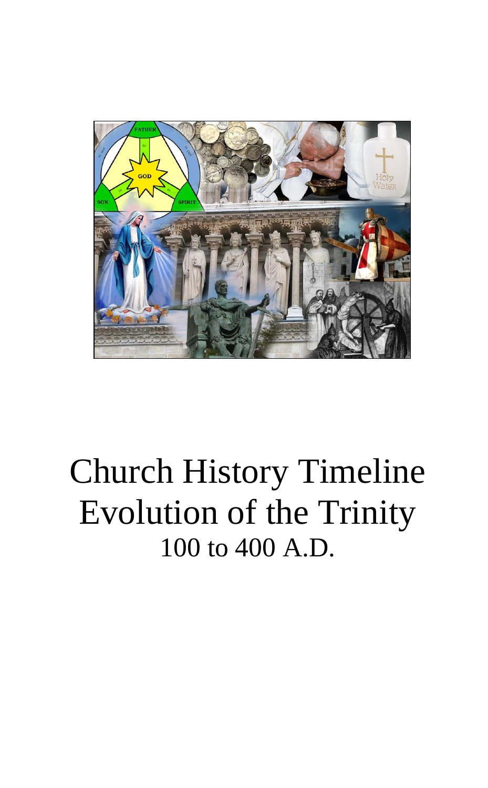

# Church History Timeline Evolution of the Trinity 100 to 400 A.D.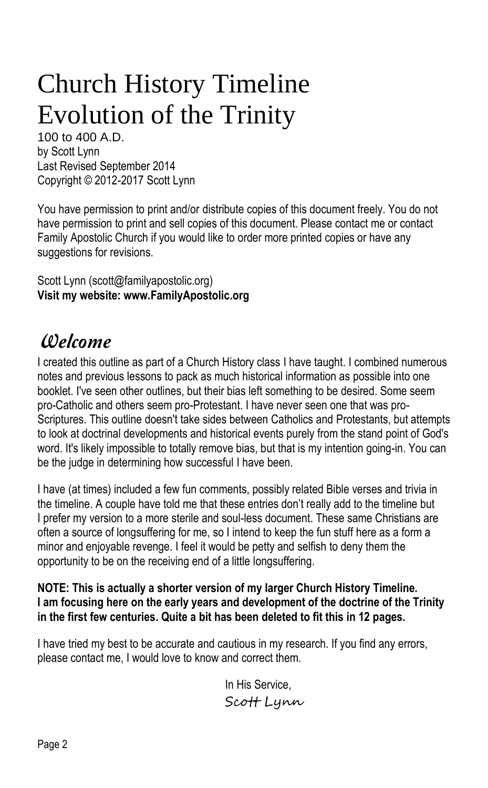## Church History Timeline Evolution of the Trinity

100 to 400 A.D. by Scott Lynn Last Revised September 2014 Copyright © 2012-2017 Scott Lynn

You have permission to print and/or distribute copies of this document freely. You do not have permission to print and sell copies of this document. Please contact me or contact Family Apostolic Church if you would like to order more printed copies or have any suggestions for revisions.

Scott Lynn (scott@familyapostolic.org) **Visit my website: www.FamilyApostolic.org**

## Welcome

I created this outline as part of a Church History class I have taught. I combined numerous notes and previous lessons to pack as much historical information as possible into one booklet. I've seen other outlines, but their bias left something to be desired. Some seem pro-Catholic and others seem pro-Protestant. I have never seen one that was pro-Scriptures. This outline doesn't take sides between Catholics and Protestants, but attempts to look at doctrinal developments and historical events purely from the stand point of God's word. It's likely impossible to totally remove bias, but that is my intention going-in. You can be the judge in determining how successful I have been.

I have (at times) included a few fun comments, possibly related Bible verses and trivia in the timeline. A couple have told me that these entries don't really add to the timeline but I prefer my version to a more sterile and soul-less document. These same Christians are often a source of longsuffering for me, so I intend to keep the fun stuff here as a form a minor and enjoyable revenge. I feel it would be petty and selfish to deny them the opportunity to be on the receiving end of a little longsuffering.

## **NOTE: This is actually a shorter version of my larger Church History Timeline. I am focusing here on the early years and development of the doctrine of the Trinity in the first few centuries. Quite a bit has been deleted to fit this in 12 pages.**

I have tried my best to be accurate and cautious in my research. If you find any errors, please contact me, I would love to know and correct them.

> In His Service, Scott Lynn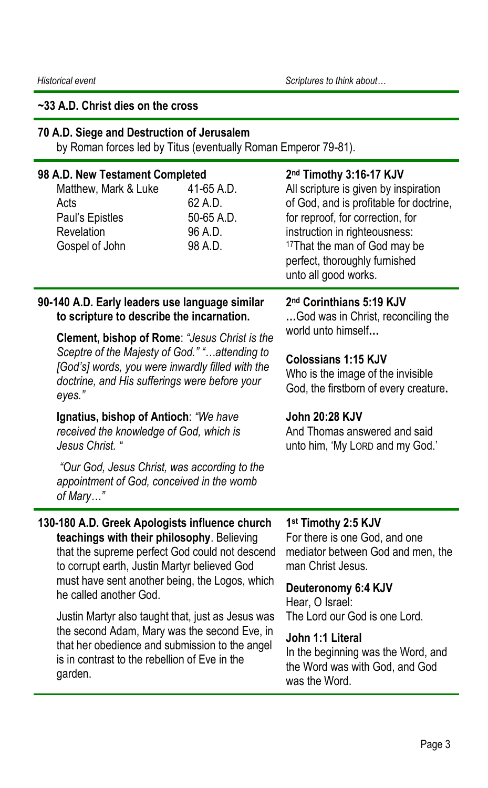## **~33 A.D. Christ dies on the cross**

## **70 A.D. Siege and Destruction of Jerusalem**

by Roman forces led by Titus (eventually Roman Emperor 79-81).

| 98 A.D. New Testament Completed<br>Matthew, Mark & Luke<br>Acts<br>Paul's Epistles<br>Revelation<br>Gospel of John                                                                                                                                                         | 41-65 A.D.<br>62 A.D.<br>50-65 A.D.<br>96 A.D.<br>98 A.D. | 2nd Timothy 3:16-17 KJV<br>All scripture is given by inspiration<br>of God, and is profitable for doctrine,<br>for reproof, for correction, for<br>instruction in righteousness:<br><sup>17</sup> That the man of God may be<br>perfect, thoroughly furnished<br>unto all good works. |
|----------------------------------------------------------------------------------------------------------------------------------------------------------------------------------------------------------------------------------------------------------------------------|-----------------------------------------------------------|---------------------------------------------------------------------------------------------------------------------------------------------------------------------------------------------------------------------------------------------------------------------------------------|
| 90-140 A.D. Early leaders use language similar<br>to scripture to describe the incarnation.                                                                                                                                                                                |                                                           | 2 <sup>nd</sup> Corinthians 5:19 KJV<br>God was in Christ, reconciling the<br>world unto himself                                                                                                                                                                                      |
| Clement, bishop of Rome: "Jesus Christ is the<br>Sceptre of the Majesty of God." " attending to<br>[God's] words, you were inwardly filled with the<br>doctrine, and His sufferings were before your<br>eyes."                                                             |                                                           |                                                                                                                                                                                                                                                                                       |
|                                                                                                                                                                                                                                                                            |                                                           | <b>Colossians 1:15 KJV</b><br>Who is the image of the invisible<br>God, the firstborn of every creature.                                                                                                                                                                              |
| Ignatius, bishop of Antioch: "We have<br>received the knowledge of God, which is<br>Jesus Christ. "                                                                                                                                                                        |                                                           | <b>John 20:28 KJV</b><br>And Thomas answered and said<br>unto him, 'My LORD and my God.'                                                                                                                                                                                              |
| "Our God, Jesus Christ, was according to the<br>appointment of God, conceived in the womb<br>of Mary"                                                                                                                                                                      |                                                           |                                                                                                                                                                                                                                                                                       |
| 130-180 A.D. Greek Apologists influence church<br>teachings with their philosophy. Believing<br>that the supreme perfect God could not descend<br>to corrupt earth, Justin Martyr believed God<br>must have sent another being, the Logos, which<br>he called another God. |                                                           | 1 <sup>st</sup> Timothy 2:5 KJV<br>For there is one God, and one<br>mediator between God and men, the<br>man Christ Jesus.                                                                                                                                                            |
|                                                                                                                                                                                                                                                                            |                                                           | Deuteronomy 6:4 KJV<br>Hear, O Israel:<br>The Lord our God is one Lord.                                                                                                                                                                                                               |
| Justin Martyr also taught that, just as Jesus was<br>the second Adam, Mary was the second Eve, in<br>that her obedience and submission to the angel<br>is in contrast to the rebellion of Eve in the<br>garden.                                                            |                                                           |                                                                                                                                                                                                                                                                                       |
|                                                                                                                                                                                                                                                                            |                                                           | John 1:1 Literal<br>In the beginning was the Word, and<br>the Word was with God, and God<br>was the Word.                                                                                                                                                                             |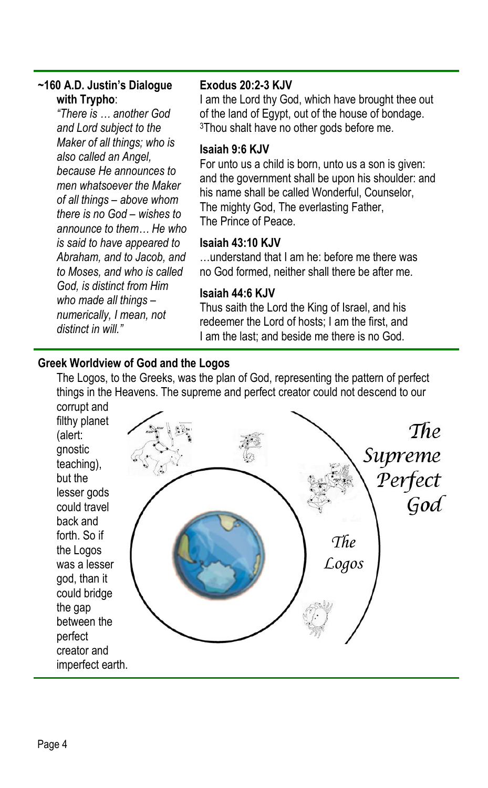## **~160 A.D. Justin's Dialogue with Trypho**:

*"There is … another God and Lord subject to the Maker of all things; who is also called an Angel, because He announces to men whatsoever the Maker of all things – above whom there is no God – wishes to announce to them… He who is said to have appeared to Abraham, and to Jacob, and to Moses, and who is called God, is distinct from Him who made all things – numerically, I mean, not distinct in will."*

## **Exodus 20:2-3 KJV**

I am the Lord thy God, which have brought thee out of the land of Egypt, out of the house of bondage. <sup>3</sup>Thou shalt have no other gods before me.

## **Isaiah 9:6 KJV**

For unto us a child is born, unto us a son is given: and the government shall be upon his shoulder: and his name shall be called Wonderful, Counselor, The mighty God, The everlasting Father, The Prince of Peace.

## **Isaiah 43:10 KJV**

…understand that I am he: before me there was no God formed, neither shall there be after me.

## **Isaiah 44:6 KJV**

Thus saith the Lord the King of Israel, and his redeemer the Lord of hosts; I am the first, and I am the last; and beside me there is no God.

## **Greek Worldview of God and the Logos**

The Logos, to the Greeks, was the plan of God, representing the pattern of perfect things in the Heavens. The supreme and perfect creator could not descend to our

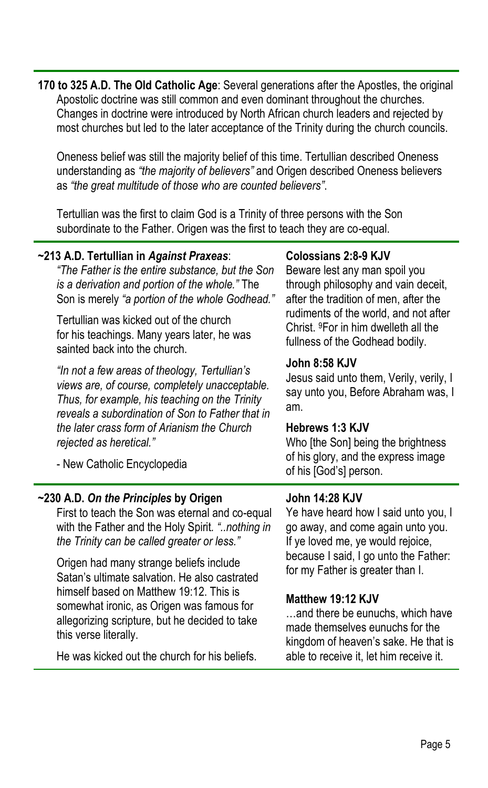**170 to 325 A.D. The Old Catholic Age**: Several generations after the Apostles, the original Apostolic doctrine was still common and even dominant throughout the churches. Changes in doctrine were introduced by North African church leaders and rejected by most churches but led to the later acceptance of the Trinity during the church councils.

Oneness belief was still the majority belief of this time. Tertullian described Oneness understanding as *"the majority of believers"* and Origen described Oneness believers as *"the great multitude of those who are counted believers"*.

Tertullian was the first to claim God is a Trinity of three persons with the Son subordinate to the Father. Origen was the first to teach they are co-equal.

| ~213 A.D. Tertullian in Against Praxeas:<br>"The Father is the entire substance, but the Son<br>is a derivation and portion of the whole." The<br>Son is merely "a portion of the whole Godhead."<br>Tertullian was kicked out of the church<br>for his teachings. Many years later, he was<br>sainted back into the church.<br>"In not a few areas of theology, Tertullian's<br>views are, of course, completely unacceptable.<br>Thus, for example, his teaching on the Trinity<br>reveals a subordination of Son to Father that in<br>the later crass form of Arianism the Church<br>rejected as heretical."<br>- New Catholic Encyclopedia | <b>Colossians 2:8-9 KJV</b><br>Beware lest any man spoil you<br>through philosophy and vain deceit,<br>after the tradition of men, after the<br>rudiments of the world, and not after<br>Christ. <sup>9</sup> For in him dwelleth all the<br>fullness of the Godhead bodily.<br><b>John 8:58 KJV</b><br>Jesus said unto them, Verily, verily, I<br>say unto you, Before Abraham was, I<br>am.<br>Hebrews 1:3 KJV<br>Who [the Son] being the brightness<br>of his glory, and the express image<br>of his [God's] person. |
|------------------------------------------------------------------------------------------------------------------------------------------------------------------------------------------------------------------------------------------------------------------------------------------------------------------------------------------------------------------------------------------------------------------------------------------------------------------------------------------------------------------------------------------------------------------------------------------------------------------------------------------------|-------------------------------------------------------------------------------------------------------------------------------------------------------------------------------------------------------------------------------------------------------------------------------------------------------------------------------------------------------------------------------------------------------------------------------------------------------------------------------------------------------------------------|
| ~230 A.D. On the Principles by Origen<br>First to teach the Son was eternal and co-equal<br>with the Father and the Holy Spirit. "nothing in<br>the Trinity can be called greater or less."                                                                                                                                                                                                                                                                                                                                                                                                                                                    | <b>John 14:28 KJV</b><br>Ye have heard how I said unto you, I<br>go away, and come again unto you.<br>If ye loved me, ye would rejoice,<br>because I said, I go unto the Father:                                                                                                                                                                                                                                                                                                                                        |
| Origen had many strange beliefs include<br>Satan's ultimate salvation. He also castrated<br>himself based on Matthew 19:12. This is<br>somewhat ironic, as Origen was famous for                                                                                                                                                                                                                                                                                                                                                                                                                                                               | for my Father is greater than I.<br>Matthew 19:12 KJV<br>ورموط وامتطرون المطمور ومرواها والمسموط الممرم                                                                                                                                                                                                                                                                                                                                                                                                                 |

He was kicked out the church for his beliefs.

allegorizing scripture, but he decided to take

this verse literally.

…and there be eunuchs, which have made themselves eunuchs for the kingdom of heaven's sake. He that is able to receive it, let him receive it.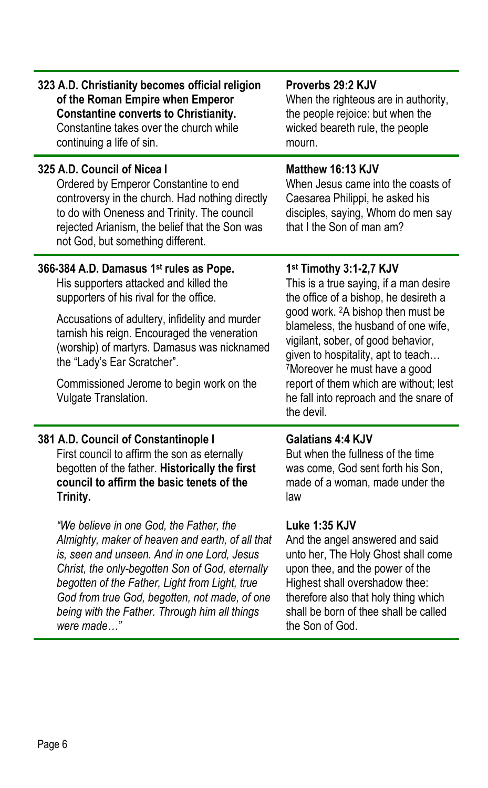| 323 A.D. Christianity becomes official religion                                                                                                                                                                                                                                                                                                                                              | Proverbs 29:2 KJV                                                                                                                                                                                                                                                                                                                                                                                                                         |
|----------------------------------------------------------------------------------------------------------------------------------------------------------------------------------------------------------------------------------------------------------------------------------------------------------------------------------------------------------------------------------------------|-------------------------------------------------------------------------------------------------------------------------------------------------------------------------------------------------------------------------------------------------------------------------------------------------------------------------------------------------------------------------------------------------------------------------------------------|
| of the Roman Empire when Emperor                                                                                                                                                                                                                                                                                                                                                             | When the righteous are in authority,                                                                                                                                                                                                                                                                                                                                                                                                      |
| <b>Constantine converts to Christianity.</b>                                                                                                                                                                                                                                                                                                                                                 | the people rejoice: but when the                                                                                                                                                                                                                                                                                                                                                                                                          |
| Constantine takes over the church while                                                                                                                                                                                                                                                                                                                                                      | wicked beareth rule, the people                                                                                                                                                                                                                                                                                                                                                                                                           |
| continuing a life of sin.                                                                                                                                                                                                                                                                                                                                                                    | mourn.                                                                                                                                                                                                                                                                                                                                                                                                                                    |
| 325 A.D. Council of Nicea I<br>Ordered by Emperor Constantine to end<br>controversy in the church. Had nothing directly<br>to do with Oneness and Trinity. The council<br>rejected Arianism, the belief that the Son was<br>not God, but something different.                                                                                                                                | Matthew 16:13 KJV<br>When Jesus came into the coasts of<br>Caesarea Philippi, he asked his<br>disciples, saying, Whom do men say<br>that I the Son of man am?                                                                                                                                                                                                                                                                             |
| 366-384 A.D. Damasus 1 <sup>st</sup> rules as Pope.<br>His supporters attacked and killed the<br>supporters of his rival for the office.<br>Accusations of adultery, infidelity and murder<br>tarnish his reign. Encouraged the veneration<br>(worship) of martyrs. Damasus was nicknamed<br>the "Lady's Ear Scratcher".<br>Commissioned Jerome to begin work on the<br>Vulgate Translation. | 1 <sup>st</sup> Timothy 3:1-2,7 KJV<br>This is a true saying, if a man desire<br>the office of a bishop, he desireth a<br>good work. <sup>2</sup> A bishop then must be<br>blameless, the husband of one wife,<br>vigilant, sober, of good behavior,<br>given to hospitality, apt to teach<br><sup>7</sup> Moreover he must have a good<br>report of them which are without; lest<br>he fall into reproach and the snare of<br>the devil. |
| 381 A.D. Council of Constantinople I                                                                                                                                                                                                                                                                                                                                                         | <b>Galatians 4:4 KJV</b>                                                                                                                                                                                                                                                                                                                                                                                                                  |
| First council to affirm the son as eternally                                                                                                                                                                                                                                                                                                                                                 | But when the fullness of the time                                                                                                                                                                                                                                                                                                                                                                                                         |
| begotten of the father. Historically the first                                                                                                                                                                                                                                                                                                                                               | was come, God sent forth his Son,                                                                                                                                                                                                                                                                                                                                                                                                         |
| council to affirm the basic tenets of the                                                                                                                                                                                                                                                                                                                                                    | made of a woman, made under the                                                                                                                                                                                                                                                                                                                                                                                                           |
| Trinity.                                                                                                                                                                                                                                                                                                                                                                                     | law                                                                                                                                                                                                                                                                                                                                                                                                                                       |
| "We believe in one God, the Father, the                                                                                                                                                                                                                                                                                                                                                      | <b>Luke 1:35 KJV</b>                                                                                                                                                                                                                                                                                                                                                                                                                      |
| Almighty, maker of heaven and earth, of all that                                                                                                                                                                                                                                                                                                                                             | And the angel answered and said                                                                                                                                                                                                                                                                                                                                                                                                           |
| is, seen and unseen. And in one Lord, Jesus                                                                                                                                                                                                                                                                                                                                                  | unto her, The Holy Ghost shall come                                                                                                                                                                                                                                                                                                                                                                                                       |
| Christ, the only-begotten Son of God, eternally                                                                                                                                                                                                                                                                                                                                              | upon thee, and the power of the                                                                                                                                                                                                                                                                                                                                                                                                           |
| begotten of the Father, Light from Light, true                                                                                                                                                                                                                                                                                                                                               | Highest shall overshadow thee:                                                                                                                                                                                                                                                                                                                                                                                                            |
| God from true God, begotten, not made, of one                                                                                                                                                                                                                                                                                                                                                | therefore also that holy thing which                                                                                                                                                                                                                                                                                                                                                                                                      |
| being with the Father. Through him all things                                                                                                                                                                                                                                                                                                                                                | shall be born of thee shall be called                                                                                                                                                                                                                                                                                                                                                                                                     |
| were made"                                                                                                                                                                                                                                                                                                                                                                                   | the Son of God.                                                                                                                                                                                                                                                                                                                                                                                                                           |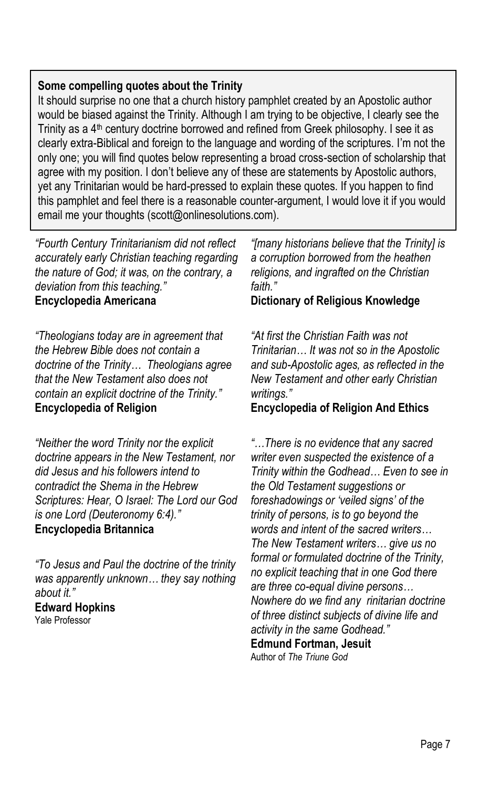## **Some compelling quotes about the Trinity**

It should surprise no one that a church history pamphlet created by an Apostolic author would be biased against the Trinity. Although I am trying to be objective, I clearly see the Trinity as a 4<sup>th</sup> century doctrine borrowed and refined from Greek philosophy. I see it as clearly extra-Biblical and foreign to the language and wording of the scriptures. I'm not the only one; you will find quotes below representing a broad cross-section of scholarship that agree with my position. I don't believe any of these are statements by Apostolic authors, yet any Trinitarian would be hard-pressed to explain these quotes. If you happen to find this pamphlet and feel there is a reasonable counter-argument, I would love it if you would email me your thoughts (scott@onlinesolutions.com).

*"Fourth Century Trinitarianism did not reflect accurately early Christian teaching regarding the nature of God; it was, on the contrary, a deviation from this teaching."* **Encyclopedia Americana**

*"Theologians today are in agreement that the Hebrew Bible does not contain a doctrine of the Trinity… Theologians agree that the New Testament also does not contain an explicit doctrine of the Trinity."* **Encyclopedia of Religion**

*"Neither the word Trinity nor the explicit doctrine appears in the New Testament, nor did Jesus and his followers intend to contradict the Shema in the Hebrew Scriptures: Hear, O Israel: The Lord our God is one Lord (Deuteronomy 6:4)."* **Encyclopedia Britannica**

*"To Jesus and Paul the doctrine of the trinity was apparently unknown… they say nothing about it."* **Edward Hopkins** Yale Professor

*"[many historians believe that the Trinity] is a corruption borrowed from the heathen religions, and ingrafted on the Christian faith."*

## **Dictionary of Religious Knowledge**

*"At first the Christian Faith was not Trinitarian… It was not so in the Apostolic and sub-Apostolic ages, as reflected in the New Testament and other early Christian writings."*

## **Encyclopedia of Religion And Ethics**

*"…There is no evidence that any sacred writer even suspected the existence of a Trinity within the Godhead… Even to see in the Old Testament suggestions or foreshadowings or 'veiled signs' of the trinity of persons, is to go beyond the words and intent of the sacred writers… The New Testament writers… give us no formal or formulated doctrine of the Trinity, no explicit teaching that in one God there are three co-equal divine persons… Nowhere do we find any rinitarian doctrine of three distinct subjects of divine life and activity in the same Godhead."* **Edmund Fortman, Jesuit** Author of *The Triune God*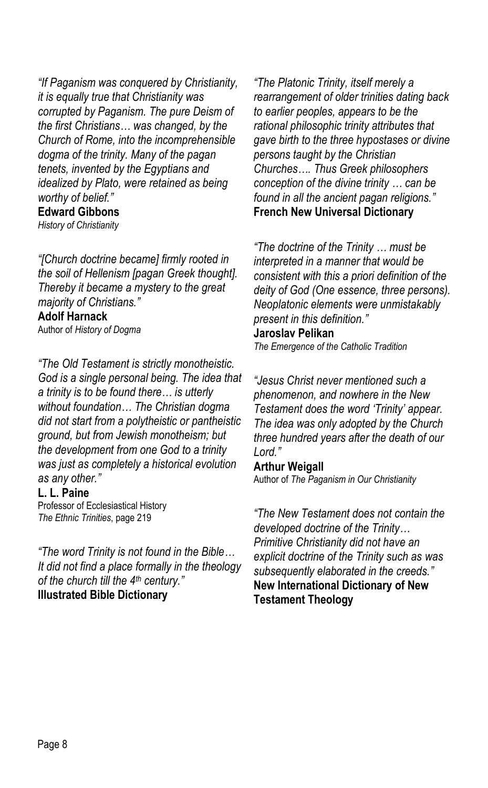*"If Paganism was conquered by Christianity, it is equally true that Christianity was corrupted by Paganism. The pure Deism of the first Christians… was changed, by the Church of Rome, into the incomprehensible dogma of the trinity. Many of the pagan tenets, invented by the Egyptians and idealized by Plato, were retained as being worthy of belief."*

## **Edward Gibbons**

*History of Christianity*

*"[Church doctrine became] firmly rooted in the soil of Hellenism [pagan Greek thought]. Thereby it became a mystery to the great majority of Christians."* **Adolf Harnack**

Author of *History of Dogma*

*"The Old Testament is strictly monotheistic. God is a single personal being. The idea that a trinity is to be found there… is utterly without foundation… The Christian dogma did not start from a polytheistic or pantheistic ground, but from Jewish monotheism; but the development from one God to a trinity was just as completely a historical evolution as any other."*

#### **L. L. Paine**

Professor of Ecclesiastical History *The Ethnic Trinities*, page 219

*"The word Trinity is not found in the Bible… It did not find a place formally in the theology of the church till the 4th century."* **Illustrated Bible Dictionary**

*"The Platonic Trinity, itself merely a rearrangement of older trinities dating back to earlier peoples, appears to be the rational philosophic trinity attributes that gave birth to the three hypostases or divine persons taught by the Christian Churches…. Thus Greek philosophers conception of the divine trinity … can be found in all the ancient pagan religions."* **French New Universal Dictionary**

*"The doctrine of the Trinity … must be interpreted in a manner that would be consistent with this a priori definition of the deity of God (One essence, three persons). Neoplatonic elements were unmistakably present in this definition."*

#### **Jaroslav Pelikan**

*The Emergence of the Catholic Tradition*

*"Jesus Christ never mentioned such a phenomenon, and nowhere in the New Testament does the word 'Trinity' appear. The idea was only adopted by the Church three hundred years after the death of our Lord."*

#### **Arthur Weigall**

Author of *The Paganism in Our Christianity*

*"The New Testament does not contain the developed doctrine of the Trinity… Primitive Christianity did not have an explicit doctrine of the Trinity such as was subsequently elaborated in the creeds."* **New International Dictionary of New Testament Theology**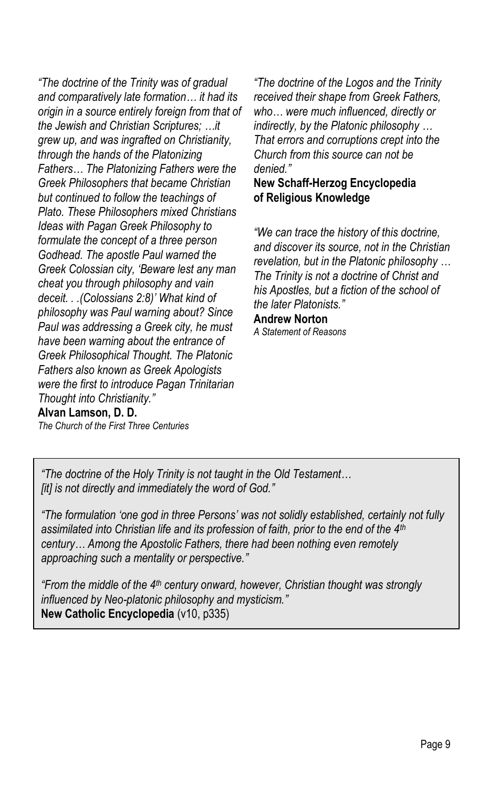*"The doctrine of the Trinity was of gradual and comparatively late formation… it had its origin in a source entirely foreign from that of the Jewish and Christian Scriptures; …it grew up, and was ingrafted on Christianity, through the hands of the Platonizing Fathers… The Platonizing Fathers were the Greek Philosophers that became Christian but continued to follow the teachings of Plato. These Philosophers mixed Christians Ideas with Pagan Greek Philosophy to formulate the concept of a three person Godhead. The apostle Paul warned the Greek Colossian city, 'Beware lest any man cheat you through philosophy and vain deceit. . .(Colossians 2:8)' What kind of philosophy was Paul warning about? Since Paul was addressing a Greek city, he must have been warning about the entrance of Greek Philosophical Thought. The Platonic Fathers also known as Greek Apologists were the first to introduce Pagan Trinitarian Thought into Christianity."*

## **Alvan Lamson, D. D.**

*The Church of the First Three Centuries*

*"The doctrine of the Logos and the Trinity received their shape from Greek Fathers, who… were much influenced, directly or indirectly, by the Platonic philosophy … That errors and corruptions crept into the Church from this source can not be denied."*

## **New Schaff-Herzog Encyclopedia of Religious Knowledge**

*"We can trace the history of this doctrine, and discover its source, not in the Christian revelation, but in the Platonic philosophy … The Trinity is not a doctrine of Christ and his Apostles, but a fiction of the school of the later Platonists."*

#### **Andrew Norton**

*A Statement of Reasons*

*"The doctrine of the Holy Trinity is not taught in the Old Testament… [it] is not directly and immediately the word of God."*

*"The formulation 'one god in three Persons' was not solidly established, certainly not fully assimilated into Christian life and its profession of faith, prior to the end of the 4th century… Among the Apostolic Fathers, there had been nothing even remotely approaching such a mentality or perspective."*

*"From the middle of the 4th century onward, however, Christian thought was strongly influenced by Neo-platonic philosophy and mysticism."* **New Catholic Encyclopedia** (v10, p335)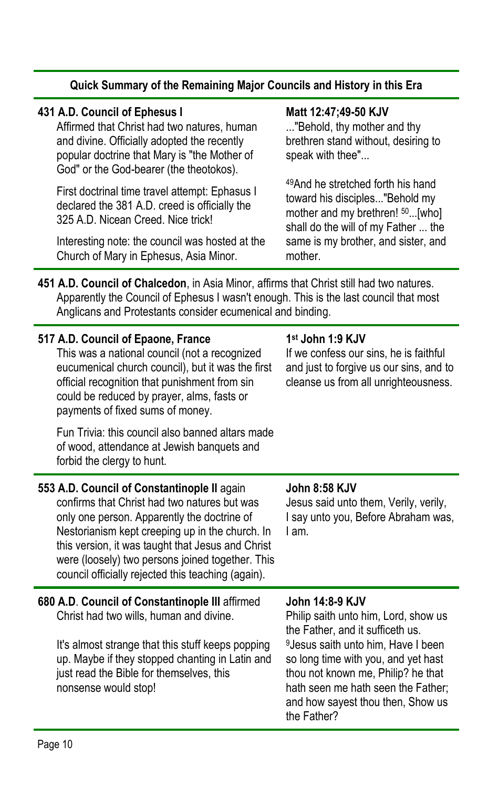| Quick Summary of the Remaining Major Councils and History in this Era                                                                                                                                                                                                                                                                                        |                                                                                                                                                                                                                                                                                                                      |  |
|--------------------------------------------------------------------------------------------------------------------------------------------------------------------------------------------------------------------------------------------------------------------------------------------------------------------------------------------------------------|----------------------------------------------------------------------------------------------------------------------------------------------------------------------------------------------------------------------------------------------------------------------------------------------------------------------|--|
| 431 A.D. Council of Ephesus I<br>Affirmed that Christ had two natures, human<br>and divine. Officially adopted the recently<br>popular doctrine that Mary is "the Mother of<br>God" or the God-bearer (the theotokos).                                                                                                                                       | Matt 12:47;49-50 KJV<br>"Behold, thy mother and thy<br>brethren stand without, desiring to<br>speak with thee"                                                                                                                                                                                                       |  |
| First doctrinal time travel attempt: Ephasus I<br>declared the 381 A.D. creed is officially the<br>325 A.D. Nicean Creed. Nice trick!                                                                                                                                                                                                                        | 49 And he stretched forth his hand<br>toward his disciples"Behold my<br>mother and my brethren! 50[who]<br>shall do the will of my Father  the                                                                                                                                                                       |  |
| Interesting note: the council was hosted at the<br>Church of Mary in Ephesus, Asia Minor.                                                                                                                                                                                                                                                                    | same is my brother, and sister, and<br>mother.                                                                                                                                                                                                                                                                       |  |
| 451 A.D. Council of Chalcedon, in Asia Minor, affirms that Christ still had two natures.<br>Apparently the Council of Ephesus I wasn't enough. This is the last council that most<br>Anglicans and Protestants consider ecumenical and binding.                                                                                                              |                                                                                                                                                                                                                                                                                                                      |  |
| 517 A.D. Council of Epaone, France<br>This was a national council (not a recognized<br>eucumenical church council), but it was the first<br>official recognition that punishment from sin<br>could be reduced by prayer, alms, fasts or<br>payments of fixed sums of money.                                                                                  | 1st John 1:9 KJV<br>If we confess our sins, he is faithful<br>and just to forgive us our sins, and to<br>cleanse us from all unrighteousness.                                                                                                                                                                        |  |
| Fun Trivia: this council also banned altars made<br>of wood, attendance at Jewish banquets and<br>forbid the clergy to hunt.                                                                                                                                                                                                                                 |                                                                                                                                                                                                                                                                                                                      |  |
| 553 A.D. Council of Constantinople II again<br>confirms that Christ had two natures but was<br>only one person. Apparently the doctrine of<br>Nestorianism kept creeping up in the church. In<br>this version, it was taught that Jesus and Christ<br>were (loosely) two persons joined together. This<br>council officially rejected this teaching (again). | <b>John 8:58 KJV</b><br>Jesus said unto them, Verily, verily,<br>I say unto you, Before Abraham was,<br>I am.                                                                                                                                                                                                        |  |
| 680 A.D. Council of Constantinople III affirmed<br>Christ had two wills, human and divine.<br>It's almost strange that this stuff keeps popping<br>up. Maybe if they stopped chanting in Latin and<br>just read the Bible for themselves, this<br>nonsense would stop!                                                                                       | John 14:8-9 KJV<br>Philip saith unto him, Lord, show us<br>the Father, and it sufficeth us.<br><sup>9</sup> Jesus saith unto him, Have I been<br>so long time with you, and yet hast<br>thou not known me, Philip? he that<br>hath seen me hath seen the Father;<br>and how sayest thou then, Show us<br>the Father? |  |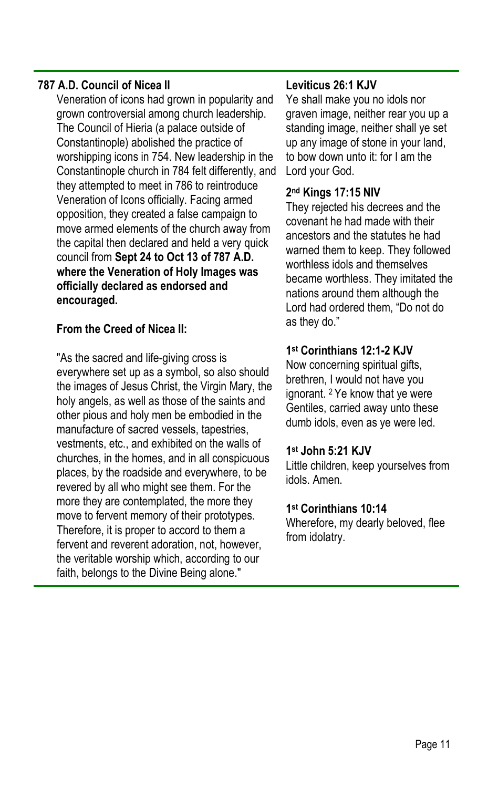## **787 A.D. Council of Nicea II**

Veneration of icons had grown in popularity and grown controversial among church leadership. The Council of Hieria (a palace outside of Constantinople) abolished the practice of worshipping icons in 754. New leadership in the Constantinople church in 784 felt differently, and they attempted to meet in 786 to reintroduce Veneration of Icons officially. Facing armed opposition, they created a false campaign to move armed elements of the church away from the capital then declared and held a very quick council from **Sept 24 to Oct 13 of 787 A.D. where the Veneration of Holy Images was officially declared as endorsed and encouraged.**

## **From the Creed of Nicea II:**

"As the sacred and life-giving cross is everywhere set up as a symbol, so also should the images of Jesus Christ, the Virgin Mary, the holy angels, as well as those of the saints and other pious and holy men be embodied in the manufacture of sacred vessels, tapestries, vestments, etc., and exhibited on the walls of churches, in the homes, and in all conspicuous places, by the roadside and everywhere, to be revered by all who might see them. For the more they are contemplated, the more they move to fervent memory of their prototypes. Therefore, it is proper to accord to them a fervent and reverent adoration, not, however, the veritable worship which, according to our faith, belongs to the Divine Being alone."

## **Leviticus 26:1 KJV**

Ye shall make you no idols nor graven image, neither rear you up a standing image, neither shall ye set up any image of stone in your land, to bow down unto it: for I am the Lord your God.

## **2 nd Kings 17:15 NIV**

They rejected his decrees and the covenant he had made with their ancestors and the statutes he had warned them to keep. They followed worthless idols and themselves became worthless. They imitated the nations around them although the Lord had ordered them, "Do not do as they do."

## **1 st Corinthians 12:1-2 KJV**

Now concerning spiritual gifts, brethren, I would not have you ignorant. 2 Ye know that ye were Gentiles, carried away unto these dumb idols, even as ye were led.

## **1 st John 5:21 KJV**

Little children, keep yourselves from idols. Amen.

#### **1 st Corinthians 10:14**

Wherefore, my dearly beloved, flee from idolatry.